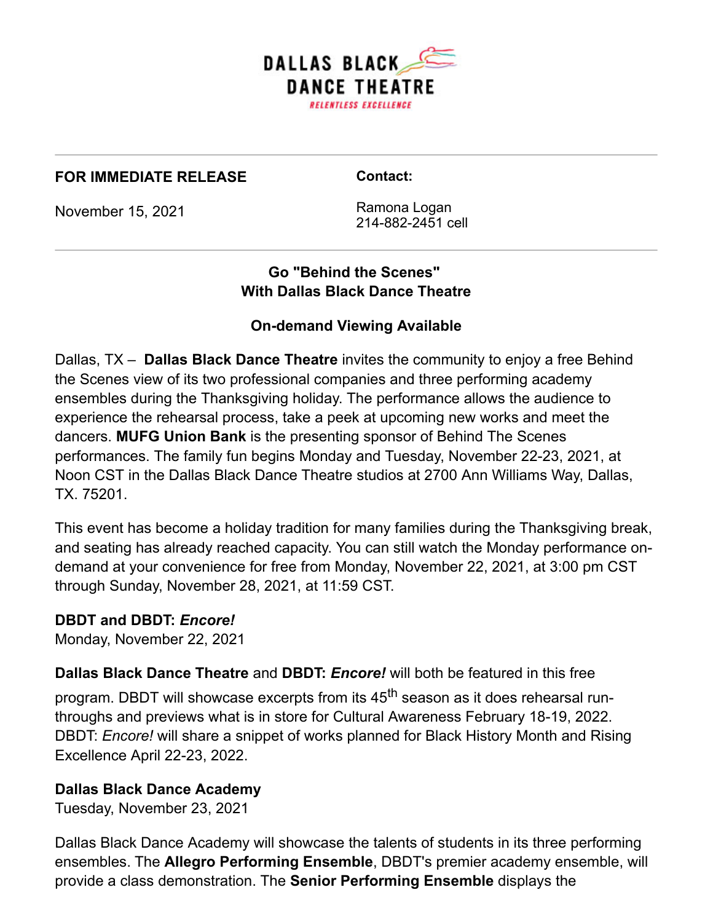

#### **FOR IMMEDIATE RELEASE**

**Contact:**

November 15, 2021

Ramona Logan 214-882-2451 cell

# **Go "Behind the Scenes" With Dallas Black Dance Theatre**

## **On-demand Viewing Available**

Dallas, TX – **Dallas Black Dance Theatre** invites the community to enjoy a free Behind the Scenes view of its two professional companies and three performing academy ensembles during the Thanksgiving holiday. The performance allows the audience to experience the rehearsal process, take a peek at upcoming new works and meet the dancers. **MUFG Union Bank** is the presenting sponsor of Behind The Scenes performances. The family fun begins Monday and Tuesday, November 22-23, 2021, at Noon CST in the Dallas Black Dance Theatre studios at 2700 Ann Williams Way, Dallas, TX. 75201.

This event has become a holiday tradition for many families during the Thanksgiving break, and seating has already reached capacity. You can still watch the Monday performance ondemand at your convenience for free from Monday, November 22, 2021, at 3:00 pm CST through Sunday, November 28, 2021, at 11:59 CST.

### **DBDT and DBDT:** *Encore!*

Monday, November 22, 2021

**Dallas Black Dance Theatre** and **DBDT:** *Encore!* will both be featured in this free

program. DBDT will showcase excerpts from its 45<sup>th</sup> season as it does rehearsal runthroughs and previews what is in store for Cultural Awareness February 18-19, 2022. DBDT: *Encore!* will share a snippet of works planned for Black History Month and Rising Excellence April 22-23, 2022.

### **Dallas Black Dance Academy**

Tuesday, November 23, 2021

Dallas Black Dance Academy will showcase the talents of students in its three performing ensembles. The **Allegro Performing Ensemble**, DBDT's premier academy ensemble, will provide a class demonstration. The **Senior Performing Ensemble** displays the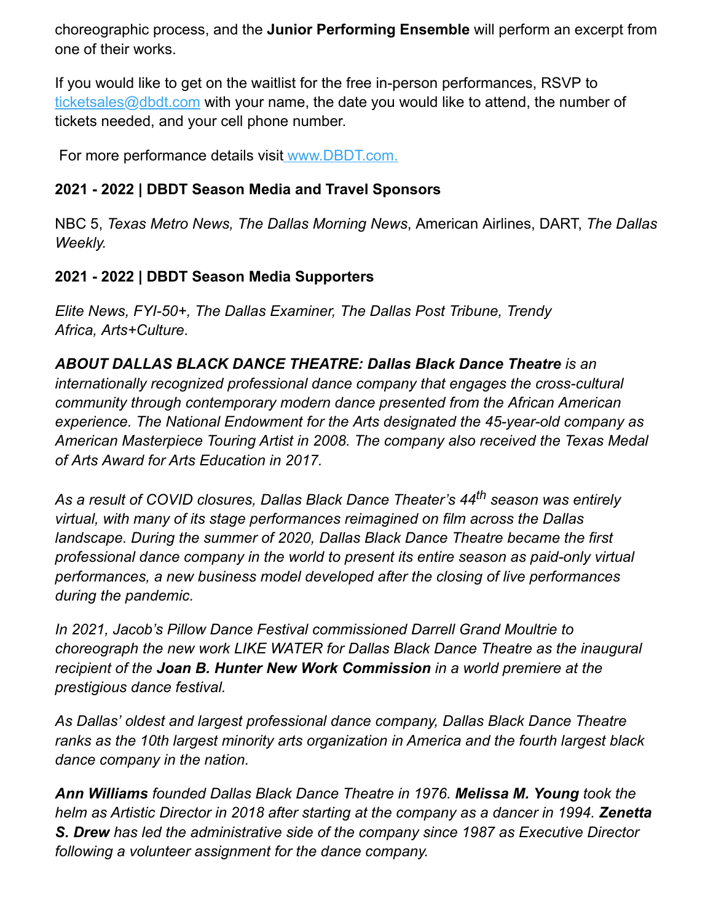choreographic process, and the **Junior Performing Ensemble** will perform an excerpt from one of their works.

If you would like to get on the waitlist for the free in-person performances, RSVP to [ticketsales@dbdt.com](mailto:ticketsales@dbdt.com) with your name, the date you would like to attend, the number of tickets needed, and your cell phone number.

For more performance details visit [www.DBDT.com.](https://dbdt.com/)

## **2021 - 2022 | DBDT Season Media and Travel Sponsors**

NBC 5, *Texas Metro News, The Dallas Morning News*, American Airlines, DART, *The Dallas Weekly.*

## **2021 - 2022 | DBDT Season Media Supporters**

*Elite News, FYI-50+, The Dallas Examiner, The Dallas Post Tribune, Trendy Africa, Arts+Culture*.

*ABOUT DALLAS BLACK DANCE THEATRE: Dallas Black Dance Theatre is an internationally recognized professional dance company that engages the cross-cultural community through contemporary modern dance presented from the African American experience. The National Endowment for the Arts designated the 45-year-old company as American Masterpiece Touring Artist in 2008. The company also received the Texas Medal of Arts Award for Arts Education in 2017.*

*As a result of COVID closures, Dallas Black Dance Theater's 44th season was entirely virtual, with many of its stage performances reimagined on film across the Dallas landscape. During the summer of 2020, Dallas Black Dance Theatre became the first professional dance company in the world to present its entire season as paid-only virtual performances, a new business model developed after the closing of live performances during the pandemic.* 

*In 2021, Jacob's Pillow Dance Festival commissioned Darrell Grand Moultrie to choreograph the new work LIKE WATER for Dallas Black Dance Theatre as the inaugural recipient of the Joan B. Hunter New Work Commission in a world premiere at the prestigious dance festival.* 

*As Dallas' oldest and largest professional dance company, Dallas Black Dance Theatre ranks as the 10th largest minority arts organization in America and the fourth largest black dance company in the nation.* 

*Ann Williams founded Dallas Black Dance Theatre in 1976. Melissa M. Young took the helm as Artistic Director in 2018 after starting at the company as a dancer in 1994. Zenetta S. Drew has led the administrative side of the company since 1987 as Executive Director following a volunteer assignment for the dance company.*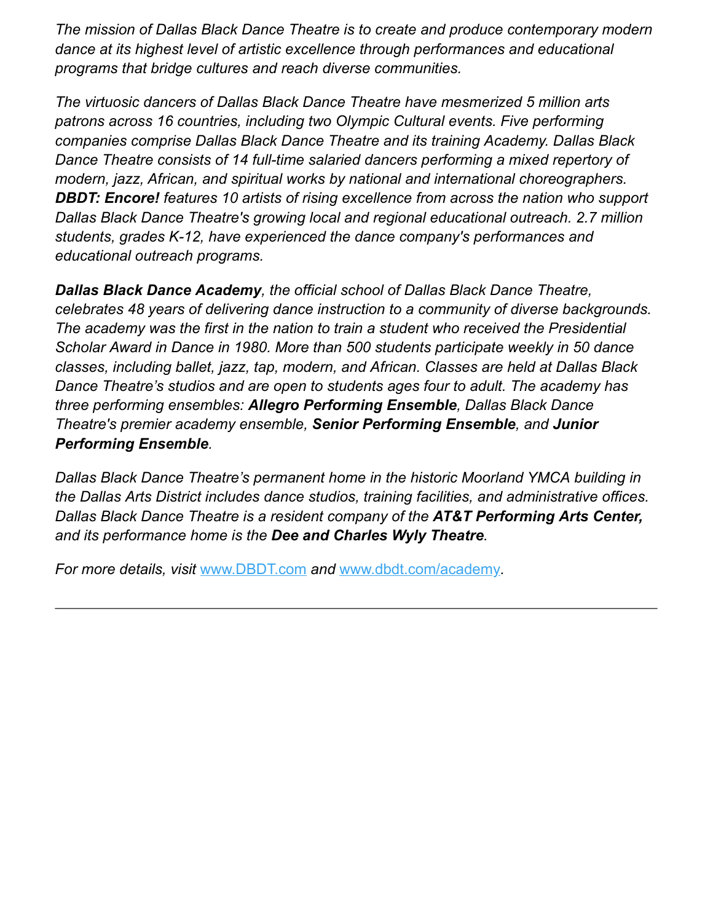*The mission of Dallas Black Dance Theatre is to create and produce contemporary modern dance at its highest level of artistic excellence through performances and educational programs that bridge cultures and reach diverse communities.*

*The virtuosic dancers of Dallas Black Dance Theatre have mesmerized 5 million arts patrons across 16 countries, including two Olympic Cultural events. Five performing companies comprise Dallas Black Dance Theatre and its training Academy. Dallas Black Dance Theatre consists of 14 full-time salaried dancers performing a mixed repertory of modern, jazz, African, and spiritual works by national and international choreographers. DBDT: Encore! features 10 artists of rising excellence from across the nation who support Dallas Black Dance Theatre's growing local and regional educational outreach. 2.7 million students, grades K-12, have experienced the dance company's performances and educational outreach programs.* 

*Dallas Black Dance Academy, the official school of Dallas Black Dance Theatre, celebrates 48 years of delivering dance instruction to a community of diverse backgrounds. The academy was the first in the nation to train a student who received the Presidential Scholar Award in Dance in 1980. More than 500 students participate weekly in 50 dance classes, including ballet, jazz, tap, modern, and African. Classes are held at Dallas Black Dance Theatre's studios and are open to students ages four to adult. The academy has three performing ensembles: Allegro Performing Ensemble, Dallas Black Dance Theatre's premier academy ensemble, Senior Performing Ensemble, and Junior Performing Ensemble.*

*Dallas Black Dance Theatre's permanent home in the historic Moorland YMCA building in the Dallas Arts District includes dance studios, training facilities, and administrative offices. Dallas Black Dance Theatre is a resident company of the AT&T Performing Arts Center, and its performance home is the Dee and Charles Wyly Theatre.*

*For more details, visit* [www.DBDT.com](https://dbdt.com/) *and* [www.dbdt.com/academy](https://dbdt.com/academy/)*.*